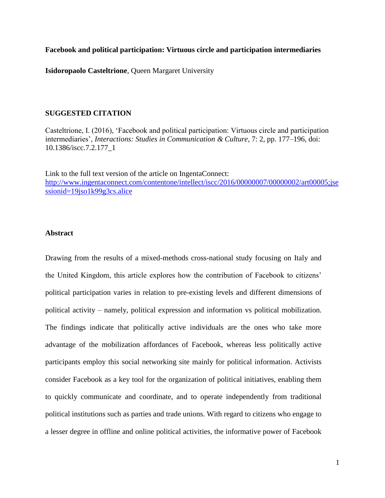**Facebook and political participation: Virtuous circle and participation intermediaries** 

**Isidoropaolo Casteltrione**, Queen Margaret University

#### **SUGGESTED CITATION**

Casteltrione, I. (2016), 'Facebook and political participation: Virtuous circle and participation intermediaries', *Interactions: Studies in Communication & Culture,* 7: 2, pp. 177–196, doi: 10.1386/iscc.7.2.177\_1

Link to the full text version of the article on IngentaConnect: [http://www.ingentaconnect.com/contentone/intellect/iscc/2016/00000007/00000002/art00005;jse](http://www.ingentaconnect.com/contentone/intellect/iscc/2016/00000007/00000002/art00005;jsessionid=19jso1k99g3cs.alice) [ssionid=19jso1k99g3cs.alice](http://www.ingentaconnect.com/contentone/intellect/iscc/2016/00000007/00000002/art00005;jsessionid=19jso1k99g3cs.alice)

### **Abstract**

Drawing from the results of a mixed-methods cross-national study focusing on Italy and the United Kingdom, this article explores how the contribution of Facebook to citizens' political participation varies in relation to pre-existing levels and different dimensions of political activity – namely, political expression and information vs political mobilization. The findings indicate that politically active individuals are the ones who take more advantage of the mobilization affordances of Facebook, whereas less politically active participants employ this social networking site mainly for political information. Activists consider Facebook as a key tool for the organization of political initiatives, enabling them to quickly communicate and coordinate, and to operate independently from traditional political institutions such as parties and trade unions. With regard to citizens who engage to a lesser degree in offline and online political activities, the informative power of Facebook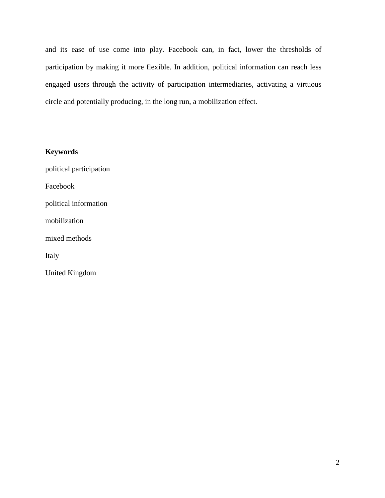and its ease of use come into play. Facebook can, in fact, lower the thresholds of participation by making it more flexible. In addition, political information can reach less engaged users through the activity of participation intermediaries, activating a virtuous circle and potentially producing, in the long run, a mobilization effect.

# **Keywords**

political participation Facebook political information mobilization mixed methods Italy United Kingdom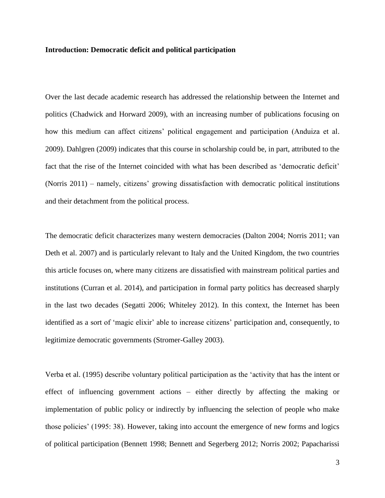#### **Introduction: Democratic deficit and political participation**

Over the last decade academic research has addressed the relationship between the Internet and politics (Chadwick and Horward 2009), with an increasing number of publications focusing on how this medium can affect citizens' political engagement and participation (Anduiza et al. 2009). Dahlgren (2009) indicates that this course in scholarship could be, in part, attributed to the fact that the rise of the Internet coincided with what has been described as 'democratic deficit' (Norris 2011) – namely, citizens' growing dissatisfaction with democratic political institutions and their detachment from the political process.

The democratic deficit characterizes many western democracies (Dalton 2004; Norris 2011; van Deth et al. 2007) and is particularly relevant to Italy and the United Kingdom, the two countries this article focuses on, where many citizens are dissatisfied with mainstream political parties and institutions (Curran et al. 2014), and participation in formal party politics has decreased sharply in the last two decades (Segatti 2006; Whiteley 2012). In this context, the Internet has been identified as a sort of 'magic elixir' able to increase citizens' participation and, consequently, to legitimize democratic governments (Stromer-Galley 2003).

Verba et al. (1995) describe voluntary political participation as the 'activity that has the intent or effect of influencing government actions – either directly by affecting the making or implementation of public policy or indirectly by influencing the selection of people who make those policies' (1995: 38). However, taking into account the emergence of new forms and logics of political participation (Bennett 1998; Bennett and Segerberg 2012; Norris 2002; Papacharissi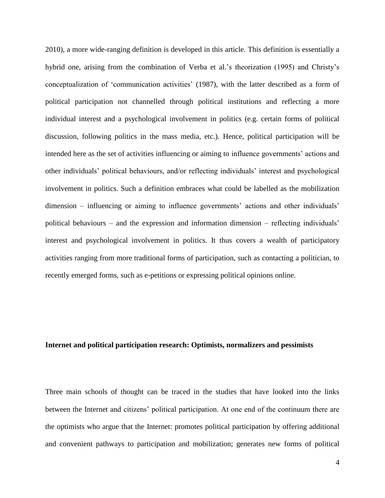2010), a more wide-ranging definition is developed in this article. This definition is essentially a hybrid one, arising from the combination of Verba et al.'s theorization (1995) and Christy's conceptualization of 'communication activities' (1987), with the latter described as a form of political participation not channelled through political institutions and reflecting a more individual interest and a psychological involvement in politics (e.g. certain forms of political discussion, following politics in the mass media, etc.). Hence, political participation will be intended here as the set of activities influencing or aiming to influence governments' actions and other individuals' political behaviours, and/or reflecting individuals' interest and psychological involvement in politics. Such a definition embraces what could be labelled as the mobilization dimension – influencing or aiming to influence governments' actions and other individuals' political behaviours – and the expression and information dimension – reflecting individuals' interest and psychological involvement in politics. It thus covers a wealth of participatory activities ranging from more traditional forms of participation, such as contacting a politician, to recently emerged forms, such as e-petitions or expressing political opinions online.

#### **Internet and political participation research: Optimists, normalizers and pessimists**

Three main schools of thought can be traced in the studies that have looked into the links between the Internet and citizens' political participation. At one end of the continuum there are the optimists who argue that the Internet: promotes political participation by offering additional and convenient pathways to participation and mobilization; generates new forms of political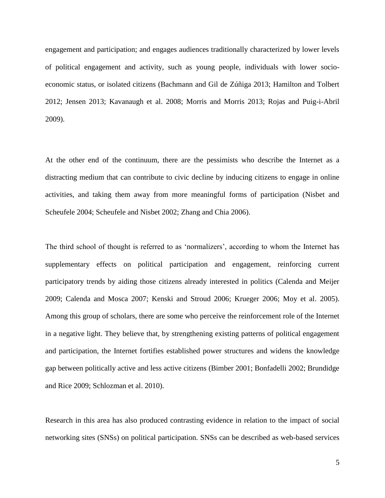engagement and participation; and engages audiences traditionally characterized by lower levels of political engagement and activity, such as young people, individuals with lower socioeconomic status, or isolated citizens (Bachmann and Gil de Zúñiga 2013; Hamilton and Tolbert 2012; Jensen 2013; Kavanaugh et al. 2008; Morris and Morris 2013; Rojas and Puig-i-Abril 2009).

At the other end of the continuum, there are the pessimists who describe the Internet as a distracting medium that can contribute to civic decline by inducing citizens to engage in online activities, and taking them away from more meaningful forms of participation (Nisbet and Scheufele 2004; Scheufele and Nisbet 2002; Zhang and Chia 2006).

The third school of thought is referred to as 'normalizers', according to whom the Internet has supplementary effects on political participation and engagement, reinforcing current participatory trends by aiding those citizens already interested in politics (Calenda and Meijer 2009; Calenda and Mosca 2007; Kenski and Stroud 2006; Krueger 2006; Moy et al. 2005). Among this group of scholars, there are some who perceive the reinforcement role of the Internet in a negative light. They believe that, by strengthening existing patterns of political engagement and participation, the Internet fortifies established power structures and widens the knowledge gap between politically active and less active citizens (Bimber 2001; Bonfadelli 2002; Brundidge and Rice 2009; Schlozman et al. 2010).

Research in this area has also produced contrasting evidence in relation to the impact of social networking sites (SNSs) on political participation. SNSs can be described as web-based services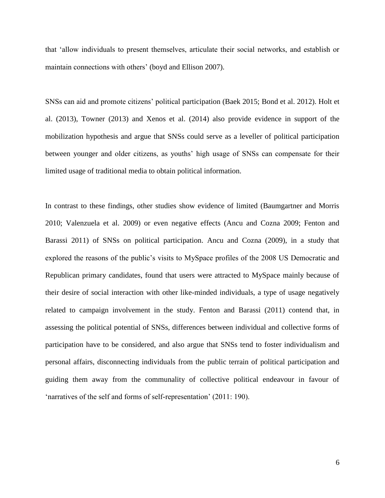that 'allow individuals to present themselves, articulate their social networks, and establish or maintain connections with others' (boyd and Ellison 2007).

SNSs can aid and promote citizens' political participation (Baek 2015; Bond et al. 2012). Holt et al. (2013), Towner (2013) and Xenos et al. (2014) also provide evidence in support of the mobilization hypothesis and argue that SNSs could serve as a leveller of political participation between younger and older citizens, as youths' high usage of SNSs can compensate for their limited usage of traditional media to obtain political information.

In contrast to these findings, other studies show evidence of limited (Baumgartner and Morris 2010; Valenzuela et al. 2009) or even negative effects (Ancu and Cozna 2009; Fenton and Barassi 2011) of SNSs on political participation. Ancu and Cozna (2009), in a study that explored the reasons of the public's visits to MySpace profiles of the 2008 US Democratic and Republican primary candidates, found that users were attracted to MySpace mainly because of their desire of social interaction with other like-minded individuals, a type of usage negatively related to campaign involvement in the study. Fenton and Barassi (2011) contend that, in assessing the political potential of SNSs, differences between individual and collective forms of participation have to be considered, and also argue that SNSs tend to foster individualism and personal affairs, disconnecting individuals from the public terrain of political participation and guiding them away from the communality of collective political endeavour in favour of 'narratives of the self and forms of self-representation' (2011: 190).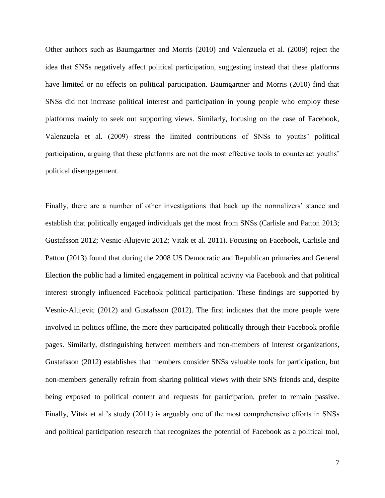Other authors such as Baumgartner and Morris (2010) and Valenzuela et al. (2009) reject the idea that SNSs negatively affect political participation, suggesting instead that these platforms have limited or no effects on political participation. Baumgartner and Morris (2010) find that SNSs did not increase political interest and participation in young people who employ these platforms mainly to seek out supporting views. Similarly, focusing on the case of Facebook, Valenzuela et al. (2009) stress the limited contributions of SNSs to youths' political participation, arguing that these platforms are not the most effective tools to counteract youths' political disengagement.

Finally, there are a number of other investigations that back up the normalizers' stance and establish that politically engaged individuals get the most from SNSs (Carlisle and Patton 2013; Gustafsson 2012; Vesnic-Alujevic 2012; Vitak et al. 2011). Focusing on Facebook, Carlisle and Patton (2013) found that during the 2008 US Democratic and Republican primaries and General Election the public had a limited engagement in political activity via Facebook and that political interest strongly influenced Facebook political participation. These findings are supported by Vesnic-Alujevic (2012) and Gustafsson (2012). The first indicates that the more people were involved in politics offline, the more they participated politically through their Facebook profile pages. Similarly, distinguishing between members and non-members of interest organizations, Gustafsson (2012) establishes that members consider SNSs valuable tools for participation, but non-members generally refrain from sharing political views with their SNS friends and, despite being exposed to political content and requests for participation, prefer to remain passive. Finally, Vitak et al.'s study (2011) is arguably one of the most comprehensive efforts in SNSs and political participation research that recognizes the potential of Facebook as a political tool,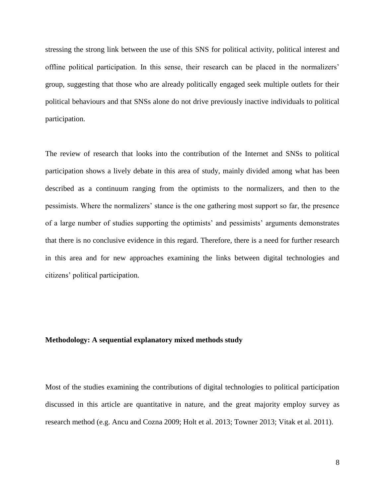stressing the strong link between the use of this SNS for political activity, political interest and offline political participation. In this sense, their research can be placed in the normalizers' group, suggesting that those who are already politically engaged seek multiple outlets for their political behaviours and that SNSs alone do not drive previously inactive individuals to political participation.

The review of research that looks into the contribution of the Internet and SNSs to political participation shows a lively debate in this area of study, mainly divided among what has been described as a continuum ranging from the optimists to the normalizers, and then to the pessimists. Where the normalizers' stance is the one gathering most support so far, the presence of a large number of studies supporting the optimists' and pessimists' arguments demonstrates that there is no conclusive evidence in this regard. Therefore, there is a need for further research in this area and for new approaches examining the links between digital technologies and citizens' political participation.

#### **Methodology: A sequential explanatory mixed methods study**

Most of the studies examining the contributions of digital technologies to political participation discussed in this article are quantitative in nature, and the great majority employ survey as research method (e.g. Ancu and Cozna 2009; Holt et al. 2013; Towner 2013; Vitak et al. 2011).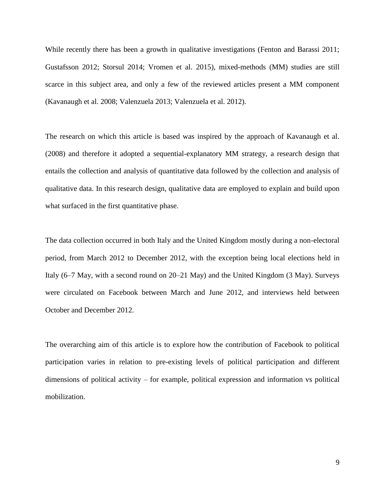While recently there has been a growth in qualitative investigations (Fenton and Barassi 2011; Gustafsson 2012; Storsul 2014; Vromen et al. 2015), mixed-methods (MM) studies are still scarce in this subject area, and only a few of the reviewed articles present a MM component (Kavanaugh et al. 2008; Valenzuela 2013; Valenzuela et al. 2012).

The research on which this article is based was inspired by the approach of Kavanaugh et al. (2008) and therefore it adopted a sequential-explanatory MM strategy, a research design that entails the collection and analysis of quantitative data followed by the collection and analysis of qualitative data. In this research design, qualitative data are employed to explain and build upon what surfaced in the first quantitative phase.

The data collection occurred in both Italy and the United Kingdom mostly during a non-electoral period, from March 2012 to December 2012, with the exception being local elections held in Italy (6–7 May, with a second round on 20–21 May) and the United Kingdom (3 May). Surveys were circulated on Facebook between March and June 2012, and interviews held between October and December 2012.

The overarching aim of this article is to explore how the contribution of Facebook to political participation varies in relation to pre-existing levels of political participation and different dimensions of political activity – for example, political expression and information vs political mobilization.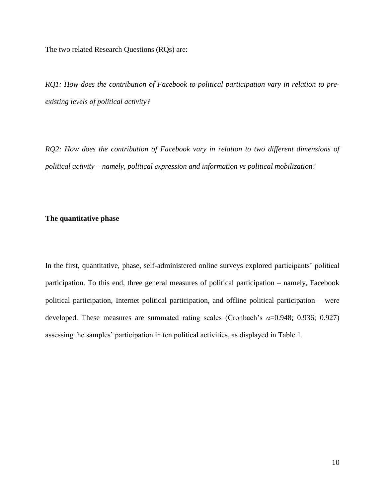The two related Research Questions (RQs) are:

*RQ1: How does the contribution of Facebook to political participation vary in relation to preexisting levels of political activity?* 

*RQ2: How does the contribution of Facebook vary in relation to two different dimensions of political activity – namely, political expression and information vs political mobilization*?

### **The quantitative phase**

In the first, quantitative, phase, self-administered online surveys explored participants' political participation. To this end, three general measures of political participation – namely, Facebook political participation, Internet political participation, and offline political participation – were developed. These measures are summated rating scales (Cronbach's *α*=0.948; 0.936; 0.927) assessing the samples' participation in ten political activities, as displayed in Table 1.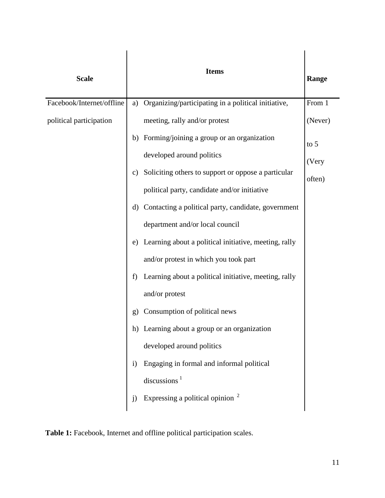| <b>Scale</b>              |              | <b>Items</b>                                          | Range   |
|---------------------------|--------------|-------------------------------------------------------|---------|
| Facebook/Internet/offline | a)           | Organizing/participating in a political initiative,   | From 1  |
| political participation   |              | meeting, rally and/or protest                         | (Never) |
|                           | b)           | Forming/joining a group or an organization            | to $5$  |
|                           |              | developed around politics                             | (Very   |
|                           | C)           | Soliciting others to support or oppose a particular   | often)  |
|                           |              | political party, candidate and/or initiative          |         |
|                           | d)           | Contacting a political party, candidate, government   |         |
|                           |              | department and/or local council                       |         |
|                           | e)           | Learning about a political initiative, meeting, rally |         |
|                           |              | and/or protest in which you took part                 |         |
|                           | f<br>g)      | Learning about a political initiative, meeting, rally |         |
|                           |              | and/or protest                                        |         |
|                           |              | Consumption of political news                         |         |
|                           | h)           | Learning about a group or an organization             |         |
|                           |              | developed around politics                             |         |
|                           | $\mathbf{i}$ | Engaging in formal and informal political             |         |
|                           |              | discussions $1$                                       |         |
|                           | j)           | Expressing a political opinion <sup>2</sup>           |         |

**Table 1:** Facebook, Internet and offline political participation scales.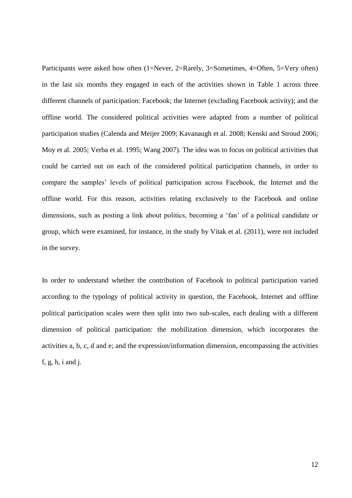Participants were asked how often (1=Never, 2=Rarely, 3=Sometimes, 4=Often, 5=Very often) in the last six months they engaged in each of the activities shown in Table 1 across three different channels of participation: Facebook; the Internet (excluding Facebook activity); and the offline world. The considered political activities were adapted from a number of political participation studies (Calenda and Meijer 2009; Kavanaugh et al. 2008; Kenski and Stroud 2006; Moy et al. 2005; Verba et al. 1995; Wang 2007). The idea was to focus on political activities that could be carried out on each of the considered political participation channels, in order to compare the samples' levels of political participation across Facebook, the Internet and the offline world. For this reason, activities relating exclusively to the Facebook and online dimensions, such as posting a link about politics, becoming a 'fan' of a political candidate or group, which were examined, for instance, in the study by Vitak et al. (2011), were not included in the survey.

In order to understand whether the contribution of Facebook to political participation varied according to the typology of political activity in question, the Facebook, Internet and offline political participation scales were then split into two sub-scales, each dealing with a different dimension of political participation: the mobilization dimension, which incorporates the activities a, b, c, d and e; and the expression/information dimension, encompassing the activities f, g, h, i and j.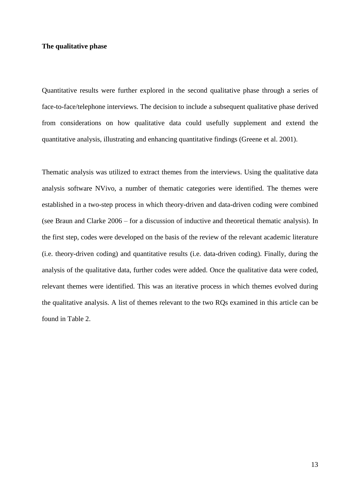### **The qualitative phase**

Quantitative results were further explored in the second qualitative phase through a series of face-to-face/telephone interviews. The decision to include a subsequent qualitative phase derived from considerations on how qualitative data could usefully supplement and extend the quantitative analysis, illustrating and enhancing quantitative findings (Greene et al. 2001).

Thematic analysis was utilized to extract themes from the interviews. Using the qualitative data analysis software NVivo, a number of thematic categories were identified. The themes were established in a two-step process in which theory-driven and data-driven coding were combined (see Braun and Clarke 2006 – for a discussion of inductive and theoretical thematic analysis). In the first step, codes were developed on the basis of the review of the relevant academic literature (i.e. theory-driven coding) and quantitative results (i.e. data-driven coding). Finally, during the analysis of the qualitative data, further codes were added. Once the qualitative data were coded, relevant themes were identified. This was an iterative process in which themes evolved during the qualitative analysis. A list of themes relevant to the two RQs examined in this article can be found in Table 2.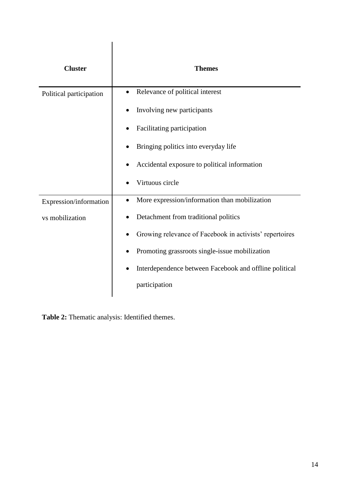| <b>Cluster</b>          | <b>Themes</b>                                           |
|-------------------------|---------------------------------------------------------|
| Political participation | Relevance of political interest                         |
|                         | Involving new participants                              |
|                         | Facilitating participation                              |
|                         | Bringing politics into everyday life                    |
|                         | Accidental exposure to political information            |
|                         | Virtuous circle                                         |
| Expression/information  | More expression/information than mobilization           |
| vs mobilization         | Detachment from traditional politics                    |
|                         | Growing relevance of Facebook in activists' repertoires |
|                         | Promoting grassroots single-issue mobilization          |
|                         | Interdependence between Facebook and offline political  |
|                         | participation                                           |
|                         |                                                         |

**Table 2:** Thematic analysis: Identified themes.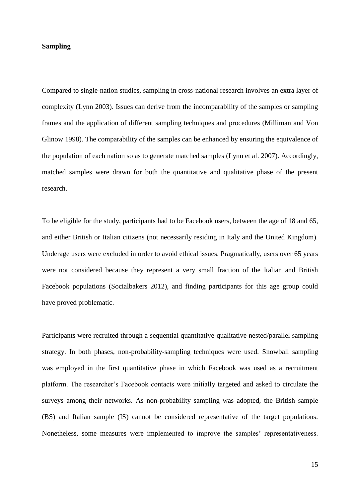### **Sampling**

Compared to single-nation studies, sampling in cross-national research involves an extra layer of complexity (Lynn 2003). Issues can derive from the incomparability of the samples or sampling frames and the application of different sampling techniques and procedures (Milliman and Von Glinow 1998). The comparability of the samples can be enhanced by ensuring the equivalence of the population of each nation so as to generate matched samples (Lynn et al. 2007). Accordingly, matched samples were drawn for both the quantitative and qualitative phase of the present research.

To be eligible for the study, participants had to be Facebook users, between the age of 18 and 65, and either British or Italian citizens (not necessarily residing in Italy and the United Kingdom). Underage users were excluded in order to avoid ethical issues. Pragmatically, users over 65 years were not considered because they represent a very small fraction of the Italian and British Facebook populations (Socialbakers 2012), and finding participants for this age group could have proved problematic.

Participants were recruited through a sequential quantitative-qualitative nested/parallel sampling strategy. In both phases, non-probability-sampling techniques were used. Snowball sampling was employed in the first quantitative phase in which Facebook was used as a recruitment platform. The researcher's Facebook contacts were initially targeted and asked to circulate the surveys among their networks. As non-probability sampling was adopted, the British sample (BS) and Italian sample (IS) cannot be considered representative of the target populations. Nonetheless, some measures were implemented to improve the samples' representativeness.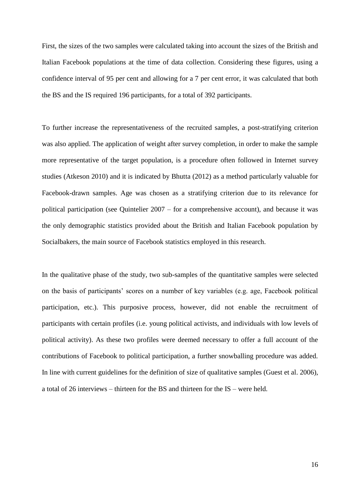First, the sizes of the two samples were calculated taking into account the sizes of the British and Italian Facebook populations at the time of data collection. Considering these figures, using a confidence interval of 95 per cent and allowing for a 7 per cent error, it was calculated that both the BS and the IS required 196 participants, for a total of 392 participants.

To further increase the representativeness of the recruited samples, a post-stratifying criterion was also applied. The application of weight after survey completion, in order to make the sample more representative of the target population, is a procedure often followed in Internet survey studies (Atkeson 2010) and it is indicated by Bhutta (2012) as a method particularly valuable for Facebook-drawn samples. Age was chosen as a stratifying criterion due to its relevance for political participation (see Quintelier 2007 – for a comprehensive account), and because it was the only demographic statistics provided about the British and Italian Facebook population by Socialbakers, the main source of Facebook statistics employed in this research.

In the qualitative phase of the study, two sub-samples of the quantitative samples were selected on the basis of participants' scores on a number of key variables (e.g. age, Facebook political participation, etc.). This purposive process, however, did not enable the recruitment of participants with certain profiles (i.e. young political activists, and individuals with low levels of political activity). As these two profiles were deemed necessary to offer a full account of the contributions of Facebook to political participation, a further snowballing procedure was added. In line with current guidelines for the definition of size of qualitative samples (Guest et al. 2006), a total of 26 interviews – thirteen for the BS and thirteen for the IS – were held.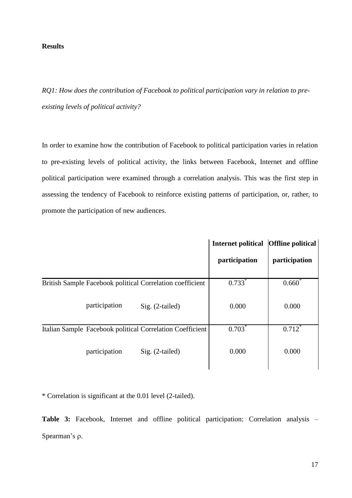## **Results**

*RQ1: How does the contribution of Facebook to political participation vary in relation to preexisting levels of political activity?*

In order to examine how the contribution of Facebook to political participation varies in relation to pre-existing levels of political activity, the links between Facebook, Internet and offline political participation were examined through a correlation analysis. This was the first step in assessing the tendency of Facebook to reinforce existing patterns of participation, or, rather, to promote the participation of new audiences.

|                                                           | <b>Internet political</b> | <b>Offline political</b> |
|-----------------------------------------------------------|---------------------------|--------------------------|
|                                                           | participation             | participation            |
| British Sample Facebook political Correlation coefficient | $0.733*$                  | $0.660^{\degree}$        |
| participation<br>Sig. (2-tailed)                          | 0.000                     | 0.000                    |
| Italian Sample Facebook political Correlation Coefficient | $0.703*$                  | $0.712^*$                |
| participation<br>Sig. (2-tailed)                          | 0.000                     | 0.000                    |

\* Correlation is significant at the 0.01 level (2-tailed).

**Table 3:** Facebook, Internet and offline political participation: Correlation analysis – Spearman's  $\rho$ .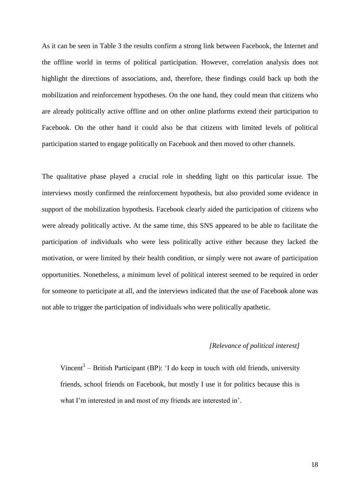As it can be seen in Table 3 the results confirm a strong link between Facebook, the Internet and the offline world in terms of political participation. However, correlation analysis does not highlight the directions of associations, and, therefore, these findings could back up both the mobilization and reinforcement hypotheses. On the one hand, they could mean that citizens who are already politically active offline and on other online platforms extend their participation to Facebook. On the other hand it could also be that citizens with limited levels of political participation started to engage politically on Facebook and then moved to other channels.

The qualitative phase played a crucial role in shedding light on this particular issue. The interviews mostly confirmed the reinforcement hypothesis, but also provided some evidence in support of the mobilization hypothesis. Facebook clearly aided the participation of citizens who were already politically active. At the same time, this SNS appeared to be able to facilitate the participation of individuals who were less politically active either because they lacked the motivation, or were limited by their health condition, or simply were not aware of participation opportunities. Nonetheless, a minimum level of political interest seemed to be required in order for someone to participate at all, and the interviews indicated that the use of Facebook alone was not able to trigger the participation of individuals who were politically apathetic.

## *[Relevance of political interest]*

Vincent<sup>3</sup> – British Participant (BP): 'I do keep in touch with old friends, university friends, school friends on Facebook, but mostly I use it for politics because this is what I'm interested in and most of my friends are interested in'.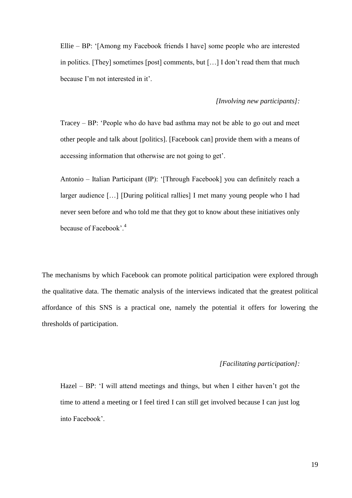Ellie – BP: '[Among my Facebook friends I have] some people who are interested in politics. [They] sometimes [post] comments, but […] I don't read them that much because I'm not interested in it'.

### *[Involving new participants]:*

Tracey – BP: 'People who do have bad asthma may not be able to go out and meet other people and talk about [politics]. [Facebook can] provide them with a means of accessing information that otherwise are not going to get'.

Antonio – Italian Participant (IP): '[Through Facebook] you can definitely reach a larger audience […] [During political rallies] I met many young people who I had never seen before and who told me that they got to know about these initiatives only because of Facebook'.<sup>4</sup>

The mechanisms by which Facebook can promote political participation were explored through the qualitative data. The thematic analysis of the interviews indicated that the greatest political affordance of this SNS is a practical one, namely the potential it offers for lowering the thresholds of participation.

## *[Facilitating participation]:*

Hazel – BP: 'I will attend meetings and things, but when I either haven't got the time to attend a meeting or I feel tired I can still get involved because I can just log into Facebook'.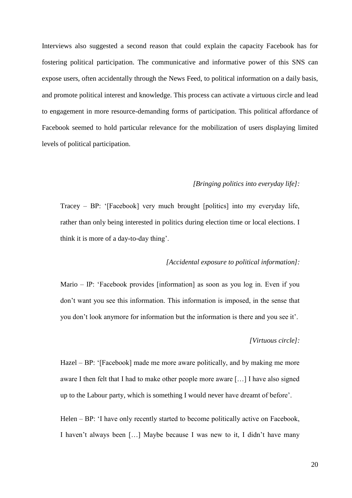Interviews also suggested a second reason that could explain the capacity Facebook has for fostering political participation. The communicative and informative power of this SNS can expose users, often accidentally through the News Feed, to political information on a daily basis, and promote political interest and knowledge. This process can activate a virtuous circle and lead to engagement in more resource-demanding forms of participation. This political affordance of Facebook seemed to hold particular relevance for the mobilization of users displaying limited levels of political participation.

## *[Bringing politics into everyday life]:*

Tracey – BP: '[Facebook] very much brought [politics] into my everyday life, rather than only being interested in politics during election time or local elections. I think it is more of a day-to-day thing'.

### *[Accidental exposure to political information]:*

Mario – IP: 'Facebook provides [information] as soon as you log in. Even if you don't want you see this information. This information is imposed, in the sense that you don't look anymore for information but the information is there and you see it'.

## *[Virtuous circle]:*

Hazel – BP: '[Facebook] made me more aware politically, and by making me more aware I then felt that I had to make other people more aware […] I have also signed up to the Labour party, which is something I would never have dreamt of before'.

Helen – BP: 'I have only recently started to become politically active on Facebook, I haven't always been […] Maybe because I was new to it, I didn't have many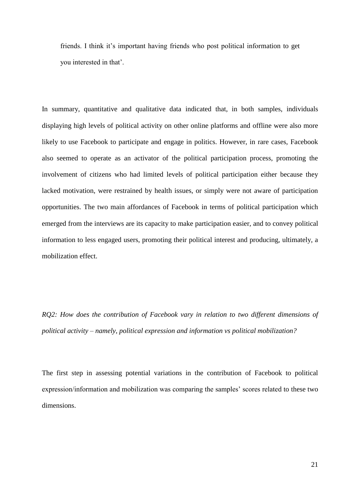friends. I think it's important having friends who post political information to get you interested in that'.

In summary, quantitative and qualitative data indicated that, in both samples, individuals displaying high levels of political activity on other online platforms and offline were also more likely to use Facebook to participate and engage in politics. However, in rare cases, Facebook also seemed to operate as an activator of the political participation process, promoting the involvement of citizens who had limited levels of political participation either because they lacked motivation, were restrained by health issues, or simply were not aware of participation opportunities. The two main affordances of Facebook in terms of political participation which emerged from the interviews are its capacity to make participation easier, and to convey political information to less engaged users, promoting their political interest and producing, ultimately, a mobilization effect.

*RQ2: How does the contribution of Facebook vary in relation to two different dimensions of political activity – namely, political expression and information vs political mobilization?*

The first step in assessing potential variations in the contribution of Facebook to political expression/information and mobilization was comparing the samples' scores related to these two dimensions.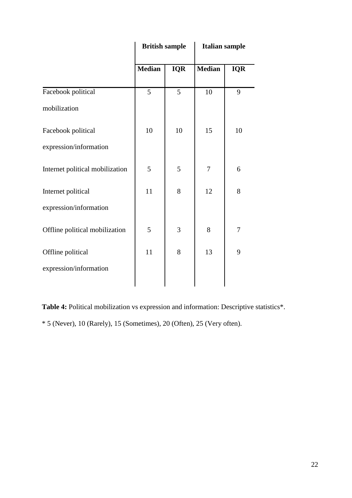|                                 | <b>British sample</b> |            | <b>Italian sample</b> |            |
|---------------------------------|-----------------------|------------|-----------------------|------------|
|                                 | <b>Median</b>         | <b>IQR</b> | <b>Median</b>         | <b>IQR</b> |
| Facebook political              | 5                     | 5          | 10                    | 9          |
| mobilization                    |                       |            |                       |            |
| Facebook political              | 10                    | 10         | 15                    | 10         |
| expression/information          |                       |            |                       |            |
| Internet political mobilization | 5                     | 5          | $\tau$                | 6          |
| Internet political              | 11                    | 8          | 12                    | 8          |
| expression/information          |                       |            |                       |            |
| Offline political mobilization  | 5                     | 3          | 8                     | 7          |
| Offline political               | 11                    | 8          | 13                    | 9          |
| expression/information          |                       |            |                       |            |
|                                 |                       |            |                       |            |

**Table 4:** Political mobilization vs expression and information: Descriptive statistics\*. \* 5 (Never), 10 (Rarely), 15 (Sometimes), 20 (Often), 25 (Very often).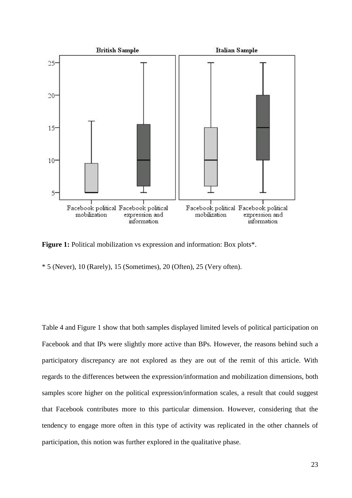

Figure 1: Political mobilization vs expression and information: Box plots\*.

\* 5 (Never), 10 (Rarely), 15 (Sometimes), 20 (Often), 25 (Very often).

Table 4 and Figure 1 show that both samples displayed limited levels of political participation on Facebook and that IPs were slightly more active than BPs. However, the reasons behind such a participatory discrepancy are not explored as they are out of the remit of this article. With regards to the differences between the expression/information and mobilization dimensions, both samples score higher on the political expression/information scales, a result that could suggest that Facebook contributes more to this particular dimension. However, considering that the tendency to engage more often in this type of activity was replicated in the other channels of participation, this notion was further explored in the qualitative phase.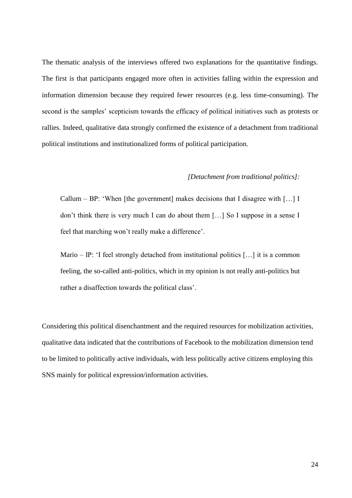The thematic analysis of the interviews offered two explanations for the quantitative findings. The first is that participants engaged more often in activities falling within the expression and information dimension because they required fewer resources (e.g. less time-consuming). The second is the samples' scepticism towards the efficacy of political initiatives such as protests or rallies. Indeed, qualitative data strongly confirmed the existence of a detachment from traditional political institutions and institutionalized forms of political participation.

### *[Detachment from traditional politics]:*

Callum – BP: 'When [the government] makes decisions that I disagree with […] I don't think there is very much I can do about them […] So I suppose in a sense I feel that marching won't really make a difference'.

Mario – IP: 'I feel strongly detached from institutional politics  $[\dots]$  it is a common feeling, the so-called anti-politics, which in my opinion is not really anti-politics but rather a disaffection towards the political class'.

Considering this political disenchantment and the required resources for mobilization activities, qualitative data indicated that the contributions of Facebook to the mobilization dimension tend to be limited to politically active individuals, with less politically active citizens employing this SNS mainly for political expression/information activities.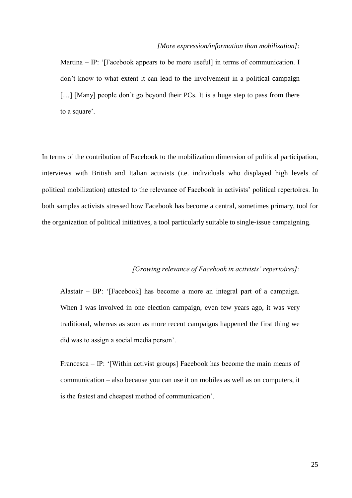#### *[More expression/information than mobilization]:*

Martina – IP: '[Facebook appears to be more useful] in terms of communication. I don't know to what extent it can lead to the involvement in a political campaign [...] [Many] people don't go beyond their PCs. It is a huge step to pass from there to a square'.

In terms of the contribution of Facebook to the mobilization dimension of political participation, interviews with British and Italian activists (i.e. individuals who displayed high levels of political mobilization) attested to the relevance of Facebook in activists' political repertoires. In both samples activists stressed how Facebook has become a central, sometimes primary, tool for the organization of political initiatives, a tool particularly suitable to single-issue campaigning.

# *[Growing relevance of Facebook in activists' repertoires]:*

Alastair – BP: '[Facebook] has become a more an integral part of a campaign. When I was involved in one election campaign, even few years ago, it was very traditional, whereas as soon as more recent campaigns happened the first thing we did was to assign a social media person'.

Francesca – IP: '[Within activist groups] Facebook has become the main means of communication – also because you can use it on mobiles as well as on computers, it is the fastest and cheapest method of communication'.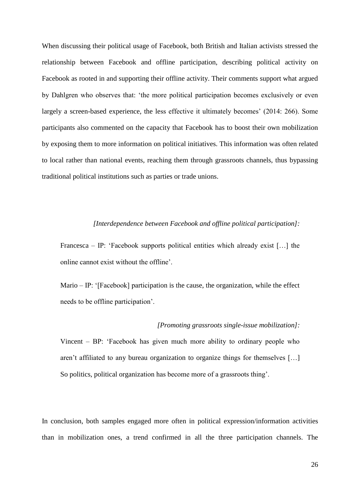When discussing their political usage of Facebook, both British and Italian activists stressed the relationship between Facebook and offline participation, describing political activity on Facebook as rooted in and supporting their offline activity. Their comments support what argued by Dahlgren who observes that: 'the more political participation becomes exclusively or even largely a screen-based experience, the less effective it ultimately becomes' (2014: 266). Some participants also commented on the capacity that Facebook has to boost their own mobilization by exposing them to more information on political initiatives. This information was often related to local rather than national events, reaching them through grassroots channels, thus bypassing traditional political institutions such as parties or trade unions.

## *[Interdependence between Facebook and offline political participation]:*

Francesca – IP: 'Facebook supports political entities which already exist […] the online cannot exist without the offline'.

Mario – IP: '[Facebook] participation is the cause, the organization, while the effect needs to be offline participation'.

#### *[Promoting grassroots single-issue mobilization]:*

Vincent – BP: 'Facebook has given much more ability to ordinary people who aren't affiliated to any bureau organization to organize things for themselves […] So politics, political organization has become more of a grassroots thing'.

In conclusion, both samples engaged more often in political expression/information activities than in mobilization ones, a trend confirmed in all the three participation channels. The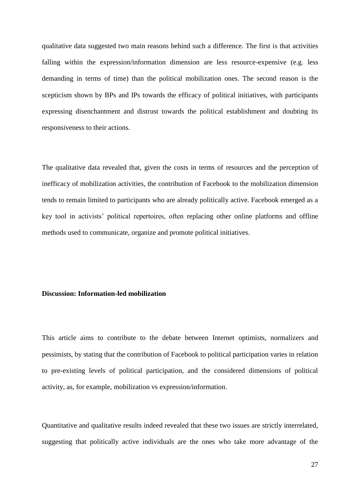qualitative data suggested two main reasons behind such a difference. The first is that activities falling within the expression/information dimension are less resource-expensive (e.g. less demanding in terms of time) than the political mobilization ones. The second reason is the scepticism shown by BPs and IPs towards the efficacy of political initiatives, with participants expressing disenchantment and distrust towards the political establishment and doubting its responsiveness to their actions.

The qualitative data revealed that, given the costs in terms of resources and the perception of inefficacy of mobilization activities, the contribution of Facebook to the mobilization dimension tends to remain limited to participants who are already politically active. Facebook emerged as a key tool in activists' political repertoires, often replacing other online platforms and offline methods used to communicate, organize and promote political initiatives.

#### **Discussion: Information-led mobilization**

This article aims to contribute to the debate between Internet optimists, normalizers and pessimists, by stating that the contribution of Facebook to political participation varies in relation to pre-existing levels of political participation, and the considered dimensions of political activity, as, for example, mobilization vs expression/information.

Quantitative and qualitative results indeed revealed that these two issues are strictly interrelated, suggesting that politically active individuals are the ones who take more advantage of the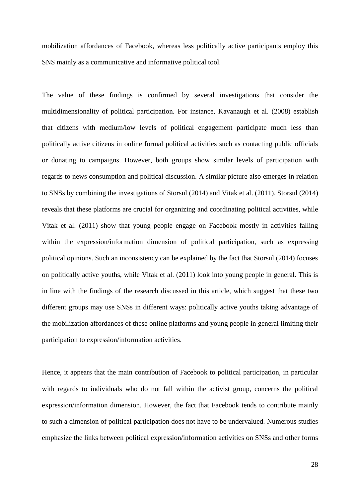mobilization affordances of Facebook, whereas less politically active participants employ this SNS mainly as a communicative and informative political tool.

The value of these findings is confirmed by several investigations that consider the multidimensionality of political participation. For instance, Kavanaugh et al. (2008) establish that citizens with medium/low levels of political engagement participate much less than politically active citizens in online formal political activities such as contacting public officials or donating to campaigns. However, both groups show similar levels of participation with regards to news consumption and political discussion. A similar picture also emerges in relation to SNSs by combining the investigations of Storsul (2014) and Vitak et al. (2011). Storsul (2014) reveals that these platforms are crucial for organizing and coordinating political activities, while Vitak et al. (2011) show that young people engage on Facebook mostly in activities falling within the expression/information dimension of political participation, such as expressing political opinions. Such an inconsistency can be explained by the fact that Storsul (2014) focuses on politically active youths, while Vitak et al. (2011) look into young people in general. This is in line with the findings of the research discussed in this article, which suggest that these two different groups may use SNSs in different ways: politically active youths taking advantage of the mobilization affordances of these online platforms and young people in general limiting their participation to expression/information activities.

Hence, it appears that the main contribution of Facebook to political participation, in particular with regards to individuals who do not fall within the activist group, concerns the political expression/information dimension. However, the fact that Facebook tends to contribute mainly to such a dimension of political participation does not have to be undervalued. Numerous studies emphasize the links between political expression/information activities on SNSs and other forms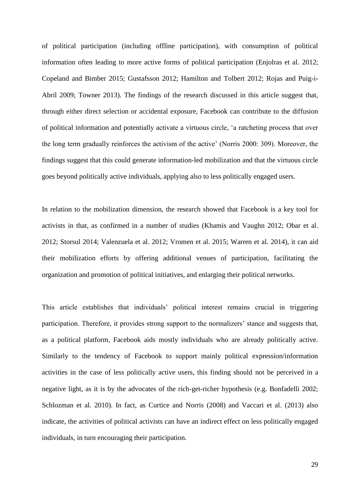of political participation (including offline participation), with consumption of political information often leading to more active forms of political participation (Enjolras et al. 2012; Copeland and Bimber 2015; Gustafsson 2012; Hamilton and Tolbert 2012; Rojas and Puig-i-Abril 2009; Towner 2013). The findings of the research discussed in this article suggest that, through either direct selection or accidental exposure, Facebook can contribute to the diffusion of political information and potentially activate a virtuous circle, 'a ratcheting process that over the long term gradually reinforces the activism of the active' (Norris 2000: 309). Moreover, the findings suggest that this could generate information-led mobilization and that the virtuous circle goes beyond politically active individuals, applying also to less politically engaged users.

In relation to the mobilization dimension, the research showed that Facebook is a key tool for activists in that, as confirmed in a number of studies (Khamis and Vaughn 2012; Obar et al. 2012; Storsul 2014; Valenzuela et al. 2012; Vromen et al. 2015; Warren et al. 2014), it can aid their mobilization efforts by offering additional venues of participation, facilitating the organization and promotion of political initiatives, and enlarging their political networks.

This article establishes that individuals' political interest remains crucial in triggering participation. Therefore, it provides strong support to the normalizers' stance and suggests that, as a political platform, Facebook aids mostly individuals who are already politically active. Similarly to the tendency of Facebook to support mainly political expression/information activities in the case of less politically active users, this finding should not be perceived in a negative light, as it is by the advocates of the rich-get-richer hypothesis (e.g. Bonfadelli 2002; Schlozman et al. 2010). In fact, as Curtice and Norris (2008) and Vaccari et al. (2013) also indicate, the activities of political activists can have an indirect effect on less politically engaged individuals, in turn encouraging their participation.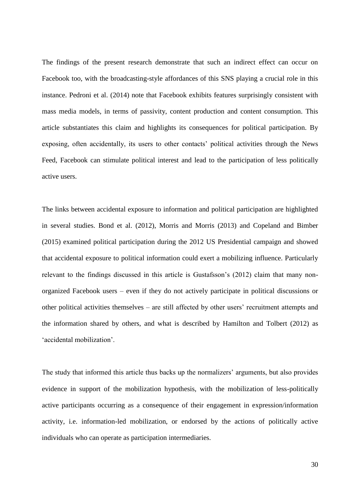The findings of the present research demonstrate that such an indirect effect can occur on Facebook too, with the broadcasting-style affordances of this SNS playing a crucial role in this instance. Pedroni et al. (2014) note that Facebook exhibits features surprisingly consistent with mass media models, in terms of passivity, content production and content consumption. This article substantiates this claim and highlights its consequences for political participation. By exposing, often accidentally, its users to other contacts' political activities through the News Feed, Facebook can stimulate political interest and lead to the participation of less politically active users.

The links between accidental exposure to information and political participation are highlighted in several studies. Bond et al. (2012), Morris and Morris (2013) and Copeland and Bimber (2015) examined political participation during the 2012 US Presidential campaign and showed that accidental exposure to political information could exert a mobilizing influence. Particularly relevant to the findings discussed in this article is Gustafsson's (2012) claim that many nonorganized Facebook users – even if they do not actively participate in political discussions or other political activities themselves – are still affected by other users' recruitment attempts and the information shared by others, and what is described by Hamilton and Tolbert (2012) as 'accidental mobilization'.

The study that informed this article thus backs up the normalizers' arguments, but also provides evidence in support of the mobilization hypothesis, with the mobilization of less-politically active participants occurring as a consequence of their engagement in expression/information activity, i.e. information-led mobilization, or endorsed by the actions of politically active individuals who can operate as participation intermediaries.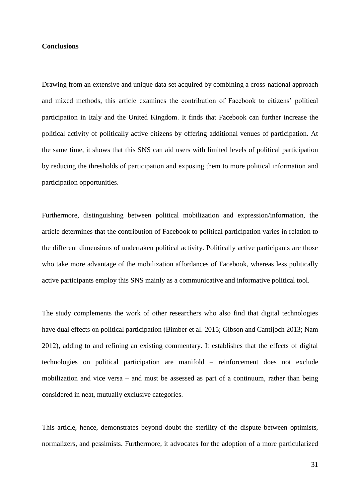## **Conclusions**

Drawing from an extensive and unique data set acquired by combining a cross-national approach and mixed methods, this article examines the contribution of Facebook to citizens' political participation in Italy and the United Kingdom. It finds that Facebook can further increase the political activity of politically active citizens by offering additional venues of participation. At the same time, it shows that this SNS can aid users with limited levels of political participation by reducing the thresholds of participation and exposing them to more political information and participation opportunities.

Furthermore, distinguishing between political mobilization and expression/information, the article determines that the contribution of Facebook to political participation varies in relation to the different dimensions of undertaken political activity. Politically active participants are those who take more advantage of the mobilization affordances of Facebook, whereas less politically active participants employ this SNS mainly as a communicative and informative political tool.

The study complements the work of other researchers who also find that digital technologies have dual effects on political participation (Bimber et al. 2015; Gibson and Cantijoch 2013; Nam 2012), adding to and refining an existing commentary. It establishes that the effects of digital technologies on political participation are manifold – reinforcement does not exclude mobilization and vice versa – and must be assessed as part of a continuum, rather than being considered in neat, mutually exclusive categories.

This article, hence, demonstrates beyond doubt the sterility of the dispute between optimists, normalizers, and pessimists. Furthermore, it advocates for the adoption of a more particularized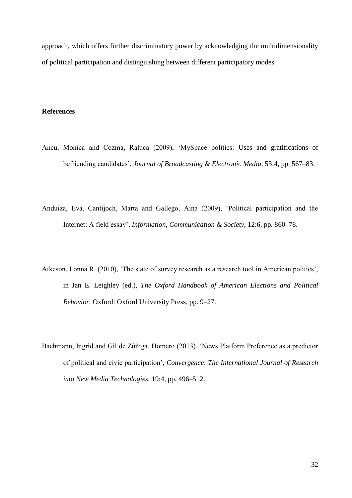approach, which offers further discriminatory power by acknowledging the multidimensionality of political participation and distinguishing between different participatory modes.

### **References**

- Ancu, Monica and Cozma, Raluca (2009), 'MySpace politics: Uses and gratifications of befriending candidates', *Journal of Broadcasting & Electronic Media*, 53:4, pp. 567–83.
- Anduiza, Eva, Cantijoch, Marta and Gallego, Aina (2009), 'Political participation and the Internet: A field essay', *Information, Communication & Society*, 12:6, pp. 860–78.
- Atkeson, Lonna R. (2010), 'The state of survey research as a research tool in American politics', in Jan E. Leighley (ed.), *The Oxford Handbook of American Elections and Political Behavior*, Oxford: Oxford University Press, pp. 9–27.
- Bachmann, Ingrid and Gil de Zúñiga, Homero (2013), 'News Platform Preference as a predictor of political and civic participation', *Convergence*: *The International Journal of Research into New Media Technologies*, 19:4, pp. 496–512.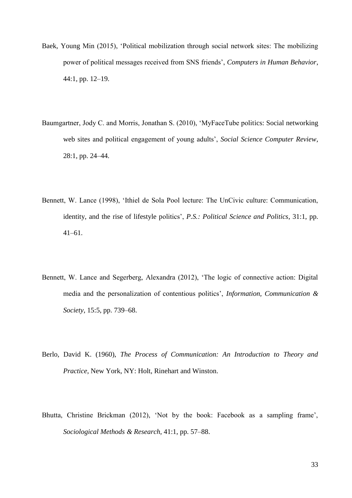- Baek, Young Min (2015), 'Political mobilization through social network sites: The mobilizing power of political messages received from SNS friends', *Computers in Human Behavior*, 44:1, pp. 12–19.
- Baumgartner, Jody C. and Morris, Jonathan S. (2010), 'MyFaceTube politics: Social networking web sites and political engagement of young adults', *Social Science Computer Review*, 28:1, pp. 24–44.
- Bennett, W. Lance (1998), 'Ithiel de Sola Pool lecture: The UnCivic culture: Communication, identity, and the rise of lifestyle politics', *P.S.: Political Science and Politics*, 31:1, pp. 41–61.
- Bennett, W. Lance and Segerberg, Alexandra (2012), 'The logic of connective action: Digital media and the personalization of contentious politics', *Information, Communication & Society*, 15:5, pp. 739–68.
- Berlo, David K. (1960), *The Process of Communication: An Introduction to Theory and Practice*, New York, NY: Holt, Rinehart and Winston.
- Bhutta, Christine Brickman (2012), 'Not by the book: Facebook as a sampling frame', *Sociological Methods & Research*, 41:1, pp. 57–88.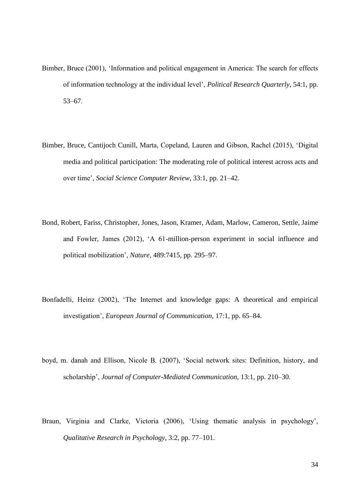- Bimber, Bruce (2001), 'Information and political engagement in America: The search for effects of information technology at the individual level', *Political Research Quarterly*, 54:1, pp. 53–67.
- Bimber, Bruce, Cantijoch Cunill, Marta, Copeland, Lauren and Gibson, Rachel (2015), 'Digital media and political participation: The moderating role of political interest across acts and over time', *Social Science Computer Review*, 33:1, pp. 21–42.
- Bond, Robert, Fariss, Christopher, Jones, Jason, Kramer, Adam, Marlow, Cameron, Settle, Jaime and Fowler, James (2012), 'A 61-million-person experiment in social influence and political mobilization', *Nature*, 489:7415, pp. 295–97.
- Bonfadelli, Heinz (2002), 'The Internet and knowledge gaps: A theoretical and empirical investigation', *European Journal of Communication*, 17:1, pp. 65–84.
- boyd, m. danah and Ellison, Nicole B. (2007), 'Social network sites: Definition, history, and scholarship', *Journal of Computer-Mediated Communication*, 13:1, pp. 210–30.
- Braun, Virginia and Clarke, Victoria (2006), 'Using thematic analysis in psychology', *Qualitative Research in Psychology*, 3:2, pp. 77–101.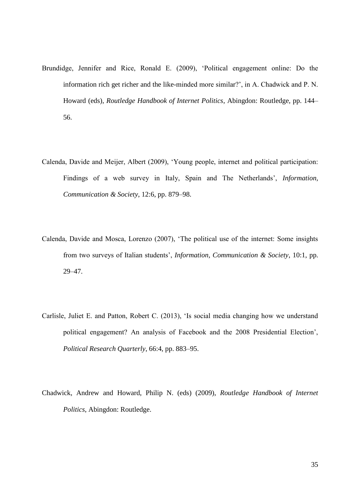- Brundidge, Jennifer and Rice, Ronald E. (2009), 'Political engagement online: Do the information rich get richer and the like-minded more similar?', in A. Chadwick and P. N. Howard (eds), *Routledge Handbook of Internet Politics*, Abingdon: Routledge, pp. 144– 56.
- Calenda, Davide and Meijer, Albert (2009), 'Young people, internet and political participation: Findings of a web survey in Italy, Spain and The Netherlands', *Information, Communication & Society*, 12:6, pp. 879–98.
- Calenda, Davide and Mosca, Lorenzo (2007), 'The political use of the internet: Some insights from two surveys of Italian students', *Information, Communication & Society*, 10:1, pp. 29–47.
- Carlisle, Juliet E. and Patton, Robert C. (2013), 'Is social media changing how we understand political engagement? An analysis of Facebook and the 2008 Presidential Election', *Political Research Quarterly*, 66:4, pp. 883–95.
- Chadwick, Andrew and Howard, Philip N. (eds) (2009), *Routledge Handbook of Internet Politics*, Abingdon: Routledge.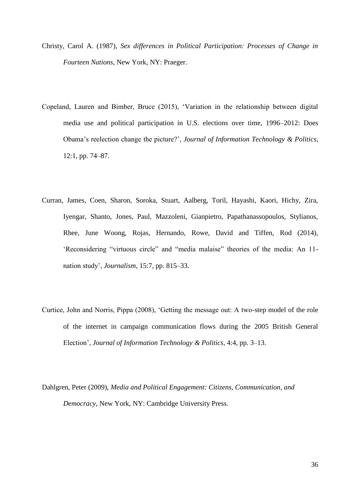- Christy, Carol A. (1987), *Sex differences in Political Participation: Processes of Change in Fourteen Nations*, New York, NY: Praeger.
- Copeland, Lauren and Bimber, Bruce (2015), 'Variation in the relationship between digital media use and political participation in U.S. elections over time, 1996–2012: Does Obama's reelection change the picture?', *Journal of Information Technology & Politics*, 12:1, pp. 74–87.
- Curran, James, Coen, Sharon, Soroka, Stuart, Aalberg, Toril, Hayashi, Kaori, Hichy, Zira, Iyengar, Shanto, Jones, Paul, Mazzoleni, Gianpietro, Papathanassopoulos, Stylianos, Rhee, June Woong, Rojas, Hernando, Rowe, David and Tiffen, Rod (2014), 'Reconsidering "virtuous circle" and "media malaise" theories of the media: An 11 nation study', *Journalism*, 15:7, pp. 815–33.
- Curtice, John and Norris, Pippa (2008), 'Getting the message out: A two-step model of the role of the internet in campaign communication flows during the 2005 British General Election', *Journal of Information Technology & Politics*, 4:4, pp. 3–13.
- Dahlgren, Peter (2009), *Media and Political Engagement: Citizens, Communication, and Democracy*, New York, NY: Cambridge University Press.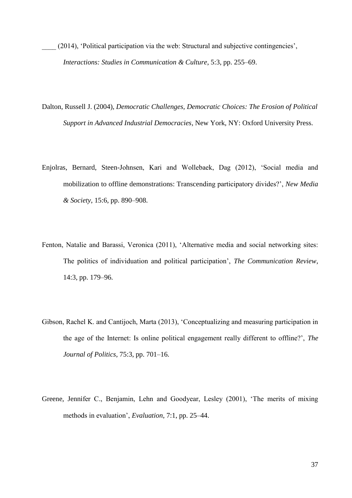- \_\_\_\_ (2014), 'Political participation via the web: Structural and subjective contingencies', *Interactions: Studies in Communication & Culture*, 5:3, pp. 255–69.
- Dalton, Russell J. (2004), *Democratic Challenges, Democratic Choices: The Erosion of Political Support in Advanced Industrial Democracies*, New York, NY: Oxford University Press.
- Enjolras, Bernard, Steen-Johnsen, Kari and Wollebaek, Dag (2012), 'Social media and mobilization to offline demonstrations: Transcending participatory divides?', *New Media & Society*, 15:6, pp. 890–908.
- Fenton, Natalie and Barassi, Veronica (2011), 'Alternative media and social networking sites: The politics of individuation and political participation', *The Communication Review*, 14:3, pp. 179–96.
- Gibson, Rachel K. and Cantijoch, Marta (2013), 'Conceptualizing and measuring participation in the age of the Internet: Is online political engagement really different to offline?', *The Journal of Politics*, 75:3, pp. 701–16.
- Greene, Jennifer C., Benjamin, Lehn and Goodyear, Lesley (2001), 'The merits of mixing methods in evaluation', *Evaluation*, 7:1, pp. 25–44.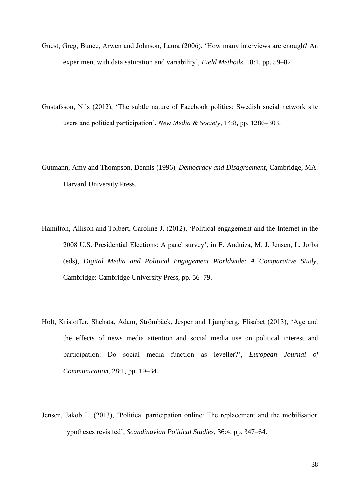- Guest, Greg, Bunce, Arwen and Johnson, Laura (2006), 'How many interviews are enough? An experiment with data saturation and variability', *Field Methods*, 18:1, pp. 59–82.
- Gustafsson, Nils (2012), 'The subtle nature of Facebook politics: Swedish social network site users and political participation', *New Media & Society*, 14:8, pp. 1286–303.
- Gutmann, Amy and Thompson, Dennis (1996), *Democracy and Disagreement*, Cambridge, MA: Harvard University Press.
- Hamilton, Allison and Tolbert, Caroline J. (2012), 'Political engagement and the Internet in the 2008 U.S. Presidential Elections: A panel survey', in E. Anduiza, M. J. Jensen, L. Jorba (eds), *Digital Media and Political Engagement Worldwide: A Comparative Study*, Cambridge: Cambridge University Press, pp. 56–79.
- Holt, Kristoffer, Shehata, Adam, Strömbäck, Jesper and Ljungberg, Elisabet (2013), 'Age and the effects of news media attention and social media use on political interest and participation: Do social media function as leveller?', *European Journal of Communication*, 28:1, pp. 19–34.
- Jensen, Jakob L. (2013), 'Political participation online: The replacement and the mobilisation hypotheses revisited', *Scandinavian Political Studies*, 36:4, pp. 347–64.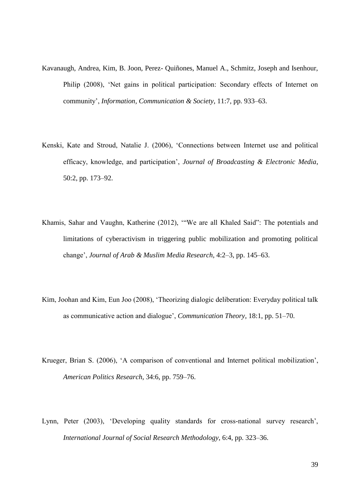- Kavanaugh, Andrea, Kim, B. Joon, Perez- Quiñones, Manuel A., Schmitz, Joseph and Isenhour, Philip (2008), 'Net gains in political participation: Secondary effects of Internet on community', *Information, Communication & Society*, 11:7, pp. 933–63.
- Kenski, Kate and Stroud, Natalie J. (2006), 'Connections between Internet use and political efficacy, knowledge, and participation', *Journal of Broadcasting & Electronic Media*, 50:2, pp. 173–92.
- Khamis, Sahar and Vaughn, Katherine (2012), '"We are all Khaled Said": The potentials and limitations of cyberactivism in triggering public mobilization and promoting political change', *Journal of Arab & Muslim Media Research*, 4:2–3, pp. 145–63.
- Kim, Joohan and Kim, Eun Joo (2008), 'Theorizing dialogic deliberation: Everyday political talk as communicative action and dialogue', *Communication Theory*, 18:1, pp. 51–70.
- Krueger, Brian S. (2006), 'A comparison of conventional and Internet political mobilization', *American Politics Research*, 34:6, pp. 759–76.
- Lynn, Peter (2003), 'Developing quality standards for cross-national survey research', *International Journal of Social Research Methodology*, 6:4, pp. 323–36.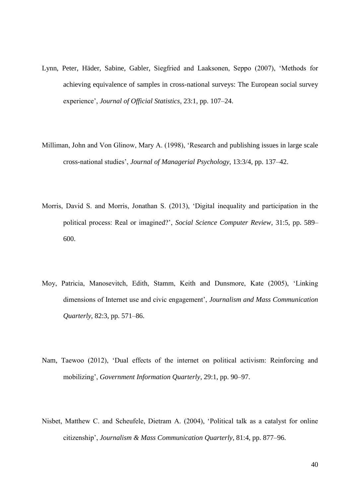- Lynn, Peter, Häder, Sabine, Gabler, Siegfried and Laaksonen, Seppo (2007), 'Methods for achieving equivalence of samples in cross-national surveys: The European social survey experience', *Journal of Official Statistics*, 23:1, pp. 107–24.
- Milliman, John and Von Glinow, Mary A. (1998), 'Research and publishing issues in large scale cross-national studies', *Journal of Managerial Psychology*, 13:3/4, pp. 137–42.
- Morris, David S. and Morris, Jonathan S. (2013), 'Digital inequality and participation in the political process: Real or imagined?', *Social Science Computer Review*, 31:5, pp. 589– 600.
- Moy, Patricia, Manosevitch, Edith, Stamm, Keith and Dunsmore, Kate (2005), 'Linking dimensions of Internet use and civic engagement', *Journalism and Mass Communication Quarterly*, 82:3, pp. 571–86.
- Nam, Taewoo (2012), 'Dual effects of the internet on political activism: Reinforcing and mobilizing', *Government Information Quarterly*, 29:1, pp. 90–97.
- Nisbet, Matthew C. and Scheufele, Dietram A. (2004), 'Political talk as a catalyst for online citizenship', *Journalism & Mass Communication Quarterly*, 81:4, pp. 877–96.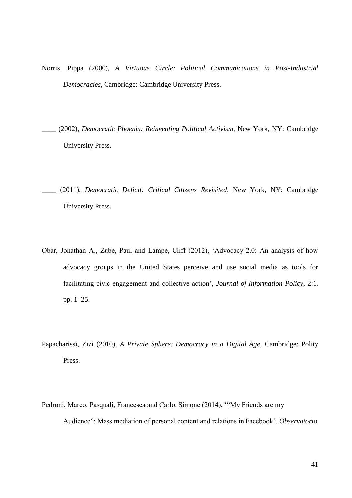- Norris, Pippa (2000), *A Virtuous Circle: Political Communications in Post-Industrial Democracies*, Cambridge: Cambridge University Press.
- \_\_\_\_ (2002), *Democratic Phoenix: Reinventing Political Activism*, New York, NY: Cambridge University Press.
- \_\_\_\_ (2011), *Democratic Deficit: Critical Citizens Revisited*, New York, NY: Cambridge University Press.
- Obar, Jonathan A., Zube, Paul and Lampe, Cliff (2012), 'Advocacy 2.0: An analysis of how advocacy groups in the United States perceive and use social media as tools for facilitating civic engagement and collective action', *Journal of Information Policy*, 2:1, pp. 1–25.
- Papacharissi, Zizi (2010), *A Private Sphere: Democracy in a Digital Age*, Cambridge: Polity Press.
- Pedroni, Marco, Pasquali, Francesca and Carlo, Simone (2014), '"My Friends are my Audience": Mass mediation of personal content and relations in Facebook', *Observatorio*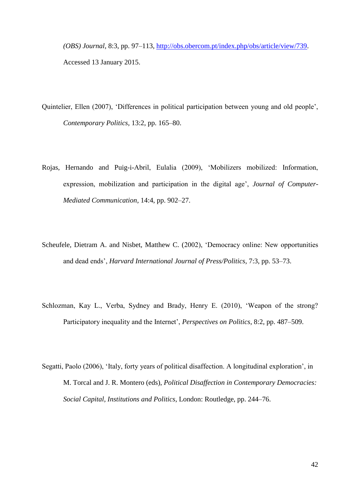*(OBS) Journal*, 8:3, pp. 97–113, [http://obs.obercom.pt/index.php/obs/article/view/739.](http://obs.obercom.pt/index.php/obs/article/view/739) Accessed 13 January 2015.

- Quintelier, Ellen (2007), 'Differences in political participation between young and old people', *Contemporary Politics*, 13:2, pp. 165–80.
- Rojas, Hernando and Puig-i-Abril, Eulalia (2009), 'Mobilizers mobilized: Information, expression, mobilization and participation in the digital age', *Journal of Computer-Mediated Communication*, 14:4, pp. 902–27.
- Scheufele, Dietram A. and Nisbet, Matthew C. (2002), 'Democracy online: New opportunities and dead ends', *Harvard International Journal of Press/Politics*, 7:3, pp. 53–73.
- Schlozman, Kay L., Verba, Sydney and Brady, Henry E. (2010), 'Weapon of the strong? Participatory inequality and the Internet', *Perspectives on Politics*, 8:2, pp. 487–509.
- Segatti, Paolo (2006), 'Italy, forty years of political disaffection. A longitudinal exploration', in M. Torcal and J. R. Montero (eds), *Political Disaffection in Contemporary Democracies: Social Capital, Institutions and Politics*, London: Routledge, pp. 244–76.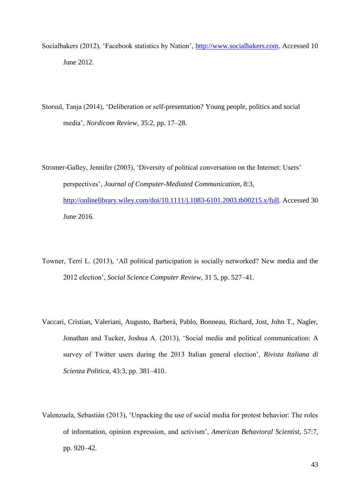- Socialbakers (2012), 'Facebook statistics by Nation', [http://www.socialbakers.com.](http://www.socialbakers.com/) Accessed 10 June 2012.
- Storsul, Tanja (2014), 'Deliberation or self-presentation? Young people, politics and social media', *Nordicom Review*, 35:2, pp. 17–28.
- Stromer-Galley, Jennifer (2003), 'Diversity of political conversation on the Internet: Users' perspectives', *Journal of Computer-Mediated Communication*, 8:3, [http://onlinelibrary.wiley.com/doi/10.1111/j.1083-6101.2003.tb00215.x/full.](http://onlinelibrary.wiley.com/doi/10.1111/j.1083-6101.2003.tb00215.x/full) Accessed 30 June 2016.
- Towner, Terri L. (2013), 'All political participation is socially networked? New media and the 2012 election', *Social Science Computer Review*, 31 5, pp. 527–41.
- Vaccari, Cristian, Valeriani, Augusto, Barberá, Pablo, Bonneau, Richard, Jost, John T., Nagler, Jonathan and Tucker, Joshua A. (2013), 'Social media and political communication: A survey of Twitter users during the 2013 Italian general election', *Rivista Italiana di Scienza Politica*, 43:3, pp. 381–410.
- Valenzuela, Sebastián (2013), 'Unpacking the use of social media for protest behavior: The roles of information, opinion expression, and activism', *American Behavioral Scientist*, 57:7, pp. 920–42.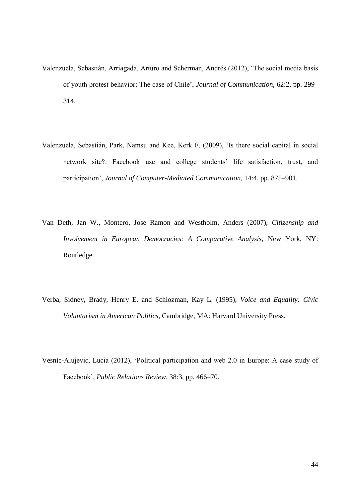- Valenzuela, Sebastián, Arriagada, Arturo and Scherman, Andrés (2012), 'The social media basis of youth protest behavior: The case of Chile', *Journal of Communication*, 62:2, pp. 299– 314.
- Valenzuela, Sebastián, Park, Namsu and Kee, Kerk F. (2009), 'Is there social capital in social network site?: Facebook use and college students' life satisfaction, trust, and participation', *Journal of Computer-Mediated Communication*, 14:4, pp. 875–901.
- Van Deth, Jan W., Montero, Jose Ramon and Westholm, Anders (2007), *Citizenship and Involvement in European Democracies: A Comparative Analysis*, New York, NY: Routledge.
- Verba, Sidney, Brady, Henry E. and Schlozman, Kay L. (1995), *Voice and Equality: Civic Voluntarism in American Politics*, Cambridge, MA: Harvard University Press.
- Vesnic-Alujevic, Lucia (2012), 'Political participation and web 2.0 in Europe: A case study of Facebook', *Public Relations Review*, 38:3, pp. 466–70.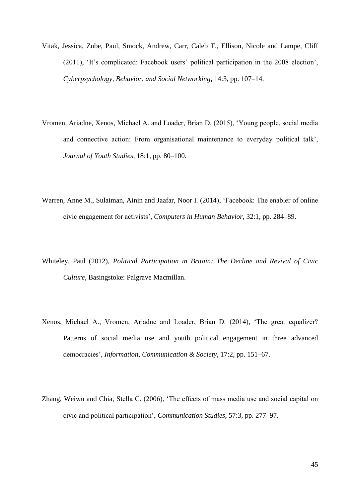- Vitak, Jessica, Zube, Paul, Smock, Andrew, Carr, Caleb T., Ellison, Nicole and Lampe, Cliff (2011), 'It's complicated: Facebook users' political participation in the 2008 election', *Cyberpsychology, Behavior, and Social Networking*, 14:3, pp. 107–14.
- Vromen, Ariadne, Xenos, Michael A. and Loader, Brian D. (2015), 'Young people, social media and connective action: From organisational maintenance to everyday political talk', *Journal of Youth Studies*, 18:1, pp. 80–100.
- Warren, Anne M., Sulaiman, Ainin and Jaafar, Noor I. (2014), 'Facebook: The enabler of online civic engagement for activists', *Computers in Human Behavior*, 32:1, pp. 284–89.
- Whiteley, Paul (2012), *Political Participation in Britain: The Decline and Revival of Civic Culture*, Basingstoke: Palgrave Macmillan.
- Xenos, Michael A., Vromen, Ariadne and Loader, Brian D. (2014), 'The great equalizer? Patterns of social media use and youth political engagement in three advanced democracies', *Information, Communication & Society*, 17:2, pp. 151–67.
- Zhang, Weiwu and Chia, Stella C. (2006), 'The effects of mass media use and social capital on civic and political participation', *Communication Studies*, 57:3, pp. 277–97.